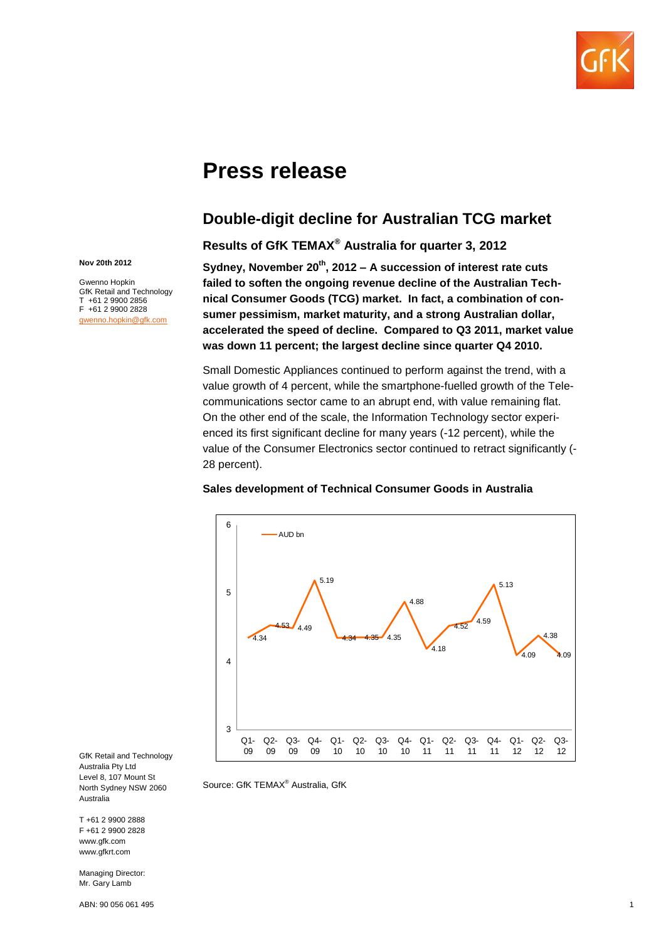

# **Press release**

Source: GfK TEMAX® Australia, GfK

# **Double-digit decline for Australian TCG market**

**Results of GfK TEMAX® Australia for quarter 3, 2012**

**Sydney, November 20th, 2012 – A succession of interest rate cuts failed to soften the ongoing revenue decline of the Australian Technical Consumer Goods (TCG) market. In fact, a combination of consumer pessimism, market maturity, and a strong Australian dollar, accelerated the speed of decline. Compared to Q3 2011, market value was down 11 percent; the largest decline since quarter Q4 2010.**

Small Domestic Appliances continued to perform against the trend, with a value growth of 4 percent, while the smartphone-fuelled growth of the Telecommunications sector came to an abrupt end, with value remaining flat. On the other end of the scale, the Information Technology sector experienced its first significant decline for many years (-12 percent), while the value of the Consumer Electronics sector continued to retract significantly (- 28 percent).



### **Sales development of Technical Consumer Goods in Australia**

GfK Retail and Technology Australia Pty Ltd Level 8, 107 Mount St North Sydney NSW 2060 Australia

T +61 2 9900 2888 F +61 2 9900 2828 www.gfk.com www.gfkrt.com

**Nov 20th 2012** Gwenno Hopkin GfK Retail and Technology T +61 2 9900 2856 F +61 2 9900 2828 [gwenno.hopkin@gfk.com](mailto:gwenno.hopkin@gfk.com)

Managing Director: Mr. Gary Lamb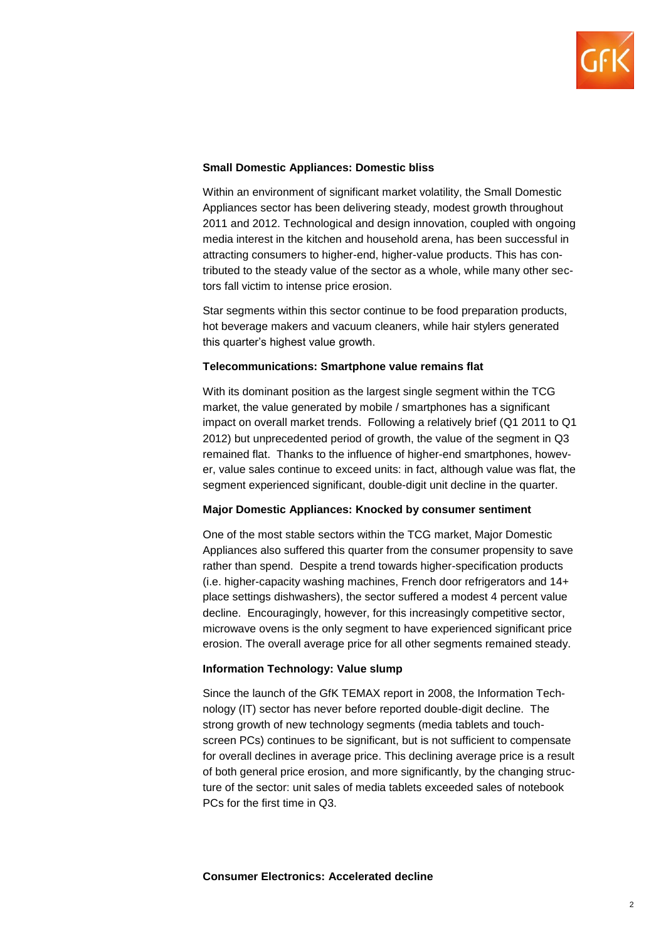

# **Small Domestic Appliances: Domestic bliss**

Within an environment of significant market volatility, the Small Domestic Appliances sector has been delivering steady, modest growth throughout 2011 and 2012. Technological and design innovation, coupled with ongoing media interest in the kitchen and household arena, has been successful in attracting consumers to higher-end, higher-value products. This has contributed to the steady value of the sector as a whole, while many other sectors fall victim to intense price erosion.

Star segments within this sector continue to be food preparation products, hot beverage makers and vacuum cleaners, while hair stylers generated this quarter's highest value growth.

# **Telecommunications: Smartphone value remains flat**

With its dominant position as the largest single segment within the TCG market, the value generated by mobile / smartphones has a significant impact on overall market trends. Following a relatively brief (Q1 2011 to Q1 2012) but unprecedented period of growth, the value of the segment in Q3 remained flat. Thanks to the influence of higher-end smartphones, however, value sales continue to exceed units: in fact, although value was flat, the segment experienced significant, double-digit unit decline in the quarter.

### **Major Domestic Appliances: Knocked by consumer sentiment**

One of the most stable sectors within the TCG market, Major Domestic Appliances also suffered this quarter from the consumer propensity to save rather than spend. Despite a trend towards higher-specification products (i.e. higher-capacity washing machines, French door refrigerators and 14+ place settings dishwashers), the sector suffered a modest 4 percent value decline. Encouragingly, however, for this increasingly competitive sector, microwave ovens is the only segment to have experienced significant price erosion. The overall average price for all other segments remained steady.

# **Information Technology: Value slump**

Since the launch of the GfK TEMAX report in 2008, the Information Technology (IT) sector has never before reported double-digit decline. The strong growth of new technology segments (media tablets and touchscreen PCs) continues to be significant, but is not sufficient to compensate for overall declines in average price. This declining average price is a result of both general price erosion, and more significantly, by the changing structure of the sector: unit sales of media tablets exceeded sales of notebook PCs for the first time in Q3.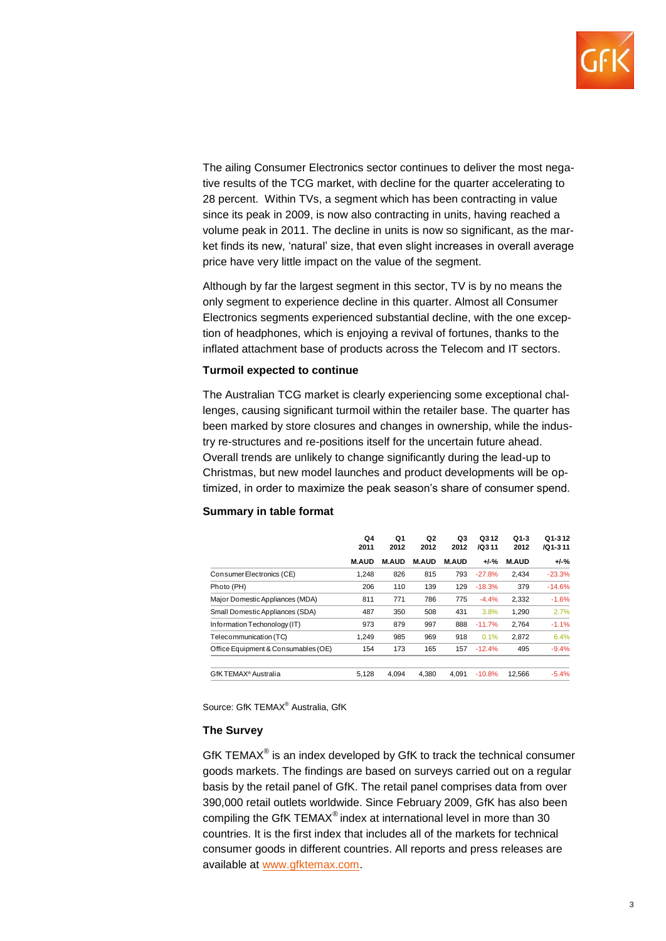

The ailing Consumer Electronics sector continues to deliver the most negative results of the TCG market, with decline for the quarter accelerating to 28 percent. Within TVs, a segment which has been contracting in value since its peak in 2009, is now also contracting in units, having reached a volume peak in 2011. The decline in units is now so significant, as the market finds its new, 'natural' size, that even slight increases in overall average price have very little impact on the value of the segment.

Although by far the largest segment in this sector, TV is by no means the only segment to experience decline in this quarter. Almost all Consumer Electronics segments experienced substantial decline, with the one exception of headphones, which is enjoying a revival of fortunes, thanks to the inflated attachment base of products across the Telecom and IT sectors.

### **Turmoil expected to continue**

The Australian TCG market is clearly experiencing some exceptional challenges, causing significant turmoil within the retailer base. The quarter has been marked by store closures and changes in ownership, while the industry re-structures and re-positions itself for the uncertain future ahead. Overall trends are unlikely to change significantly during the lead-up to Christmas, but new model launches and product developments will be optimized, in order to maximize the peak season's share of consumer spend.

### **Summary in table format**

|                                     | Q4<br>2011<br><b>M.AUD</b> | Q1<br>2012<br><b>M.AUD</b> | Q2<br>2012<br><b>M.AUD</b> | Q3<br>2012<br><b>M.AUD</b> | Q312<br>/Q311<br>$+/-%$ | Q1-3<br>2012<br><b>M.AUD</b> | Q1-312<br>/Q1-311<br>$+/-%$ |
|-------------------------------------|----------------------------|----------------------------|----------------------------|----------------------------|-------------------------|------------------------------|-----------------------------|
|                                     |                            |                            |                            |                            |                         |                              |                             |
| Consumer Electronics (CE)           | 1,248                      | 826                        | 815                        | 793                        | $-27.8%$                | 2,434                        | $-23.3%$                    |
| Photo (PH)                          | 206                        | 110                        | 139                        | 129                        | $-18.3%$                | 379                          | $-14.6%$                    |
| Major Domestic Appliances (MDA)     | 811                        | 771                        | 786                        | 775                        | $-4.4%$                 | 2,332                        | $-1.6%$                     |
| Small Domestic Appliances (SDA)     | 487                        | 350                        | 508                        | 431                        | 3.8%                    | 1,290                        | 2.7%                        |
| Information Techonology (IT)        | 973                        | 879                        | 997                        | 888                        | $-11.7%$                | 2,764                        | $-1.1%$                     |
| Telecommunication (TC)              | 1,249                      | 985                        | 969                        | 918                        | 0.1%                    | 2,872                        | 6.4%                        |
| Office Equipment & Consumables (OE) | 154                        | 173                        | 165                        | 157                        | $-12.4%$                | 495                          | $-9.4%$                     |
| GfKTEMAX <sup>®</sup> Australia     | 5.128                      | 4.094                      | 4.380                      | 4.091                      | $-10.8%$                | 12.566                       | $-5.4%$                     |

Source: GfK TEMAX® Australia, GfK

### **The Survey**

GfK TEMAX<sup>®</sup> is an index developed by GfK to track the technical consumer goods markets. The findings are based on surveys carried out on a regular basis by the retail panel of GfK. The retail panel comprises data from over 390,000 retail outlets worldwide. Since February 2009, GfK has also been compiling the GfK TEMAX® index at international level in more than 30 countries. It is the first index that includes all of the markets for technical consumer goods in different countries. All reports and press releases are available at [www.gfktemax.com.](http://www.gfktemax.com/)